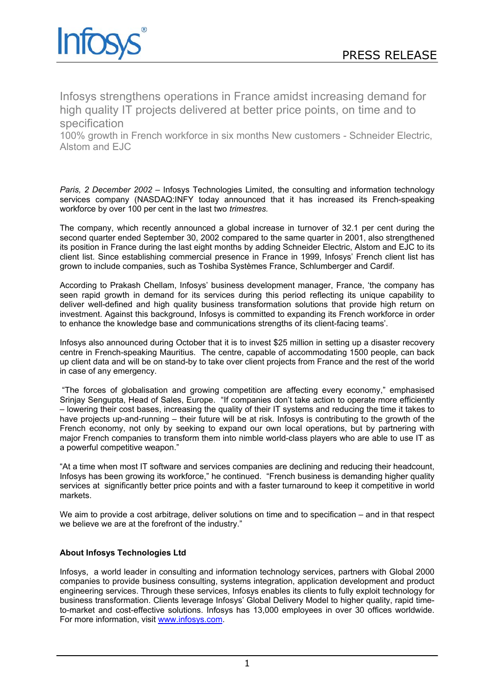

Infosys strengthens operations in France amidst increasing demand for high quality IT projects delivered at better price points, on time and to specification

100% growth in French workforce in six months New customers - Schneider Electric, Alstom and EJC

*Paris, 2 December 2002 –* Infosys Technologies Limited, the consulting and information technology services company (NASDAQ:INFY today announced that it has increased its French-speaking workforce by over 100 per cent in the last two *trimestres.* 

The company, which recently announced a global increase in turnover of 32.1 per cent during the second quarter ended September 30, 2002 compared to the same quarter in 2001, also strengthened its position in France during the last eight months by adding Schneider Electric, Alstom and EJC to its client list. Since establishing commercial presence in France in 1999, Infosys' French client list has grown to include companies, such as Toshiba Systèmes France, Schlumberger and Cardif.

According to Prakash Chellam, Infosys' business development manager, France, 'the company has seen rapid growth in demand for its services during this period reflecting its unique capability to deliver well-defined and high quality business transformation solutions that provide high return on investment. Against this background, Infosys is committed to expanding its French workforce in order to enhance the knowledge base and communications strengths of its client-facing teams'.

Infosys also announced during October that it is to invest \$25 million in setting up a disaster recovery centre in French-speaking Mauritius. The centre, capable of accommodating 1500 people, can back up client data and will be on stand-by to take over client projects from France and the rest of the world in case of any emergency.

"The forces of globalisation and growing competition are affecting every economy," emphasised Srinjay Sengupta, Head of Sales, Europe. "If companies don't take action to operate more efficiently – lowering their cost bases, increasing the quality of their IT systems and reducing the time it takes to have projects up-and-running – their future will be at risk. Infosys is contributing to the growth of the French economy, not only by seeking to expand our own local operations, but by partnering with major French companies to transform them into nimble world-class players who are able to use IT as a powerful competitive weapon."

"At a time when most IT software and services companies are declining and reducing their headcount, Infosys has been growing its workforce," he continued. "French business is demanding higher quality services at significantly better price points and with a faster turnaround to keep it competitive in world markets.

We aim to provide a cost arbitrage, deliver solutions on time and to specification – and in that respect we believe we are at the forefront of the industry."

## **About Infosys Technologies Ltd**

Infosys, a world leader in consulting and information technology services, partners with Global 2000 companies to provide business consulting, systems integration, application development and product engineering services. Through these services, Infosys enables its clients to fully exploit technology for business transformation. Clients leverage Infosys' Global Delivery Model to higher quality, rapid timeto-market and cost-effective solutions. Infosys has 13,000 employees in over 30 offices worldwide. For more information, visit [www.infosys.com.](http://www.infosys.com/)